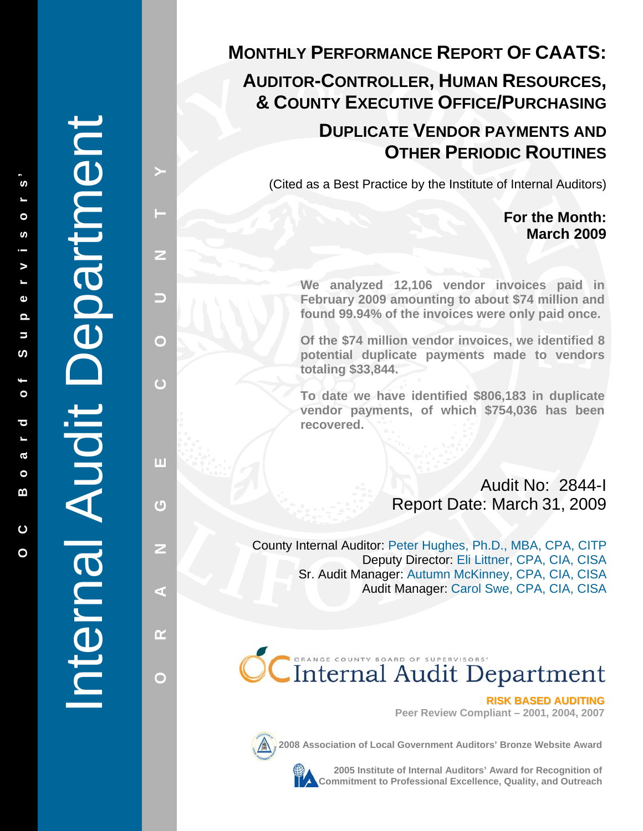# Internal Audit Department Department Internal Audit

**PRISS A LANGE COUNTY A LANGE COUNTY A LANGE COUNTY AND A LANGE COUNTY AND A LANGE COUNTY AND A LANGE COUNTY AND** 

π

凸

z

G.

œ

 $\bigcirc$ 

 $\overline{C}$ 

Z

5

 $\mathbf{\Omega}$ 

# **MONTHLY PERFORMANCE REPORT OF CAATS:**

# **AUDITOR-CONTROLLER , HUMAN RESOURCES , & COUNTY EXECUTIVE OFFICE/PURCHASING**

# **DUPLICATE VENDOR PAYMENTS AND OTHER PERIODIC ROUTINES**

(Cited as a Best Practice by the Institute of Internal Auditors)

# **For the Month: March 2009**

**We analyzed 12,106 vendor invoices paid in February 2009 amounting to about \$74 million and found 99.94% of the invoices were only paid once.** 

**Of the \$74 million vendor invoices, we identified 8 potential duplicate payments made to vendors totaling \$33,844.** 

**To date we have identified \$806,183 in duplicate vendor payments, of which \$754,036 has been recovered.** 

> Audit No: 2844-I Report Date: March 31, 2009

County Internal Auditor: Peter Hughes, Ph.D., MBA, CPA, CITP Deputy Director: Eli Littner, CPA, CIA, CISA Sr. Audit Manager: Autumn McKinney, CPA, CIA, CISA Audit Manager: Carol Swe, CPA, CIA, CISA

# CInternal Audit Department

**Peer Review Compliant – 2001, 2004, 2007** 



**2008 Association of Local Government Auditors' Bronze Website Award**

**2005 Institute of Internal Auditors' Award for Recognition of Commitment Search Commitment Search Commitment of Local Government Auditors' Bronze Website Award<br>
<b>Commitment to Professional Excellence, Quality, and Outreach RISK**<br> **Commitment to Professional Excellence, Quality, and**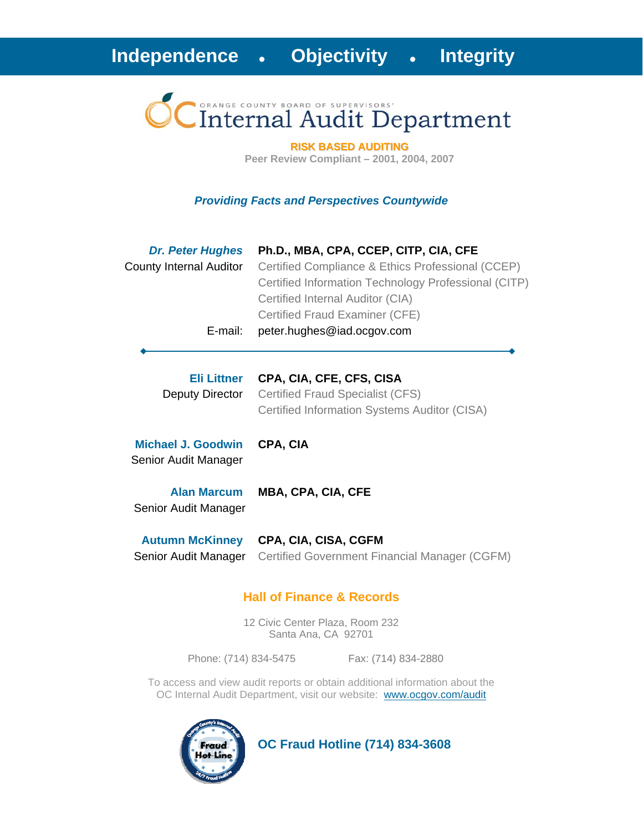# Internal Audit Department

**RISK BASED AUDITING Peer Review Compliant – 2001, 2004, 2007** 

#### *Providing Facts and Perspectives Countywide*

| <b>Dr. Peter Hughes</b> | Ph.D., MBA, CPA, CCEP, CITP, CIA, CFE                |
|-------------------------|------------------------------------------------------|
| County Internal Auditor | Certified Compliance & Ethics Professional (CCEP)    |
|                         | Certified Information Technology Professional (CITP) |
|                         | Certified Internal Auditor (CIA)                     |
|                         | Certified Fraud Examiner (CFE)                       |
| E-mail:                 | peter.hughes@iad.ocgov.com                           |

# **Eli Littner CPA, CIA, CFE, CFS, CISA**

Deputy Director Certified Fraud Specialist (CFS) Certified Information Systems Auditor (CISA)

**Michael J. Goodwin CPA, CIA** Senior Audit Manager

**Alan Marcum MBA, CPA, CIA, CFE**

Senior Audit Manager

**Autumn McKinney CPA, CIA, CISA, CGFM** Senior Audit Manager Certified Government Financial Manager (CGFM)

# **Hall of Finance & Records**

12 Civic Center Plaza, Room 232 Santa Ana, CA 92701

Phone: (714) 834-5475 Fax: (714) 834-2880

To access and view audit reports or obtain additional information about the OC Internal Audit Department, visit our website: www.ocgov.com/audit



 **OC Fraud Hotline (714) 834-3608**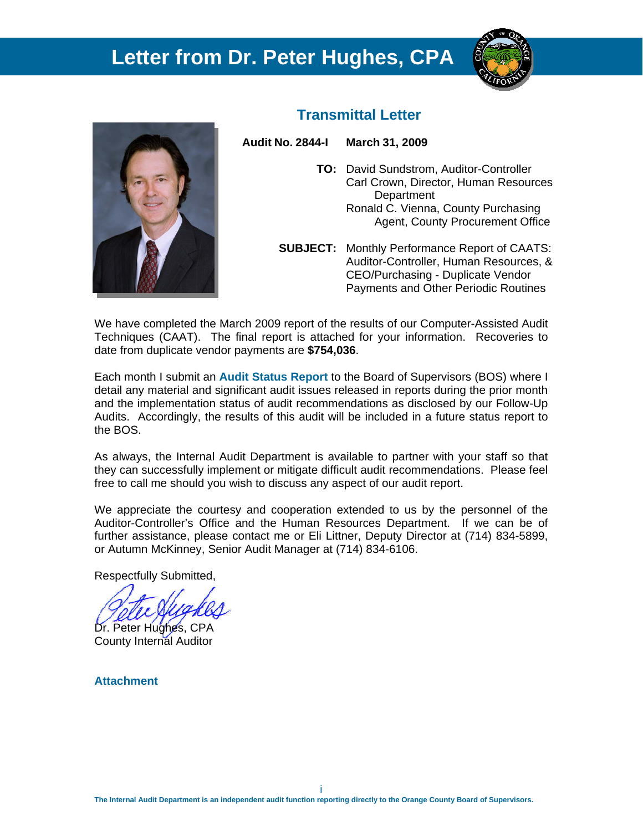# **Letter from Dr. Peter Hughes, CPA**





# **Transmittal Letter**

**Audit No. 2844-I March 31, 2009** 

- **TO:** David Sundstrom, Auditor-Controller Carl Crown, Director, Human Resources **Department**  Ronald C. Vienna, County Purchasing Agent, County Procurement Office
- **SUBJECT:** Monthly Performance Report of CAATS: Auditor-Controller, Human Resources, & CEO/Purchasing - Duplicate Vendor Payments and Other Periodic Routines

We have completed the March 2009 report of the results of our Computer-Assisted Audit Techniques (CAAT). The final report is attached for your information. Recoveries to date from duplicate vendor payments are **\$754,036**.

Each month I submit an **Audit Status Report** to the Board of Supervisors (BOS) where I detail any material and significant audit issues released in reports during the prior month and the implementation status of audit recommendations as disclosed by our Follow-Up Audits. Accordingly, the results of this audit will be included in a future status report to the BOS.

As always, the Internal Audit Department is available to partner with your staff so that they can successfully implement or mitigate difficult audit recommendations. Please feel free to call me should you wish to discuss any aspect of our audit report.

We appreciate the courtesy and cooperation extended to us by the personnel of the Auditor-Controller's Office and the Human Resources Department. If we can be of further assistance, please contact me or Eli Littner, Deputy Director at (714) 834-5899, or Autumn McKinney, Senior Audit Manager at (714) 834-6106.

Respectfully Submitted,

Dr. Peter Hughes, CPA

County Internal Auditor

**Attachment**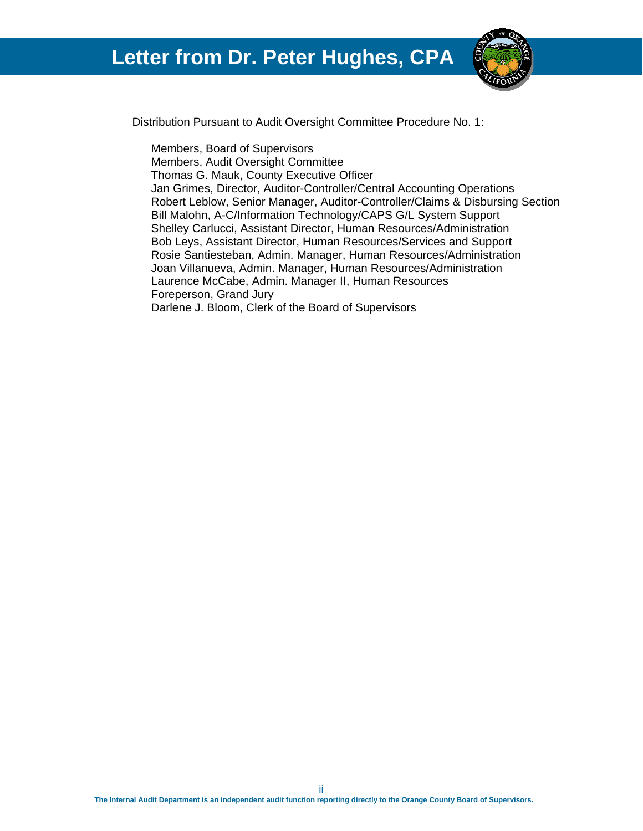

Distribution Pursuant to Audit Oversight Committee Procedure No. 1:

 Members, Board of Supervisors Members, Audit Oversight Committee Thomas G. Mauk, County Executive Officer Jan Grimes, Director, Auditor-Controller/Central Accounting Operations Robert Leblow, Senior Manager, Auditor-Controller/Claims & Disbursing Section Bill Malohn, A-C/Information Technology/CAPS G/L System Support Shelley Carlucci, Assistant Director, Human Resources/Administration Bob Leys, Assistant Director, Human Resources/Services and Support Rosie Santiesteban, Admin. Manager, Human Resources/Administration Joan Villanueva, Admin. Manager, Human Resources/Administration Laurence McCabe, Admin. Manager II, Human Resources Foreperson, Grand Jury Darlene J. Bloom, Clerk of the Board of Supervisors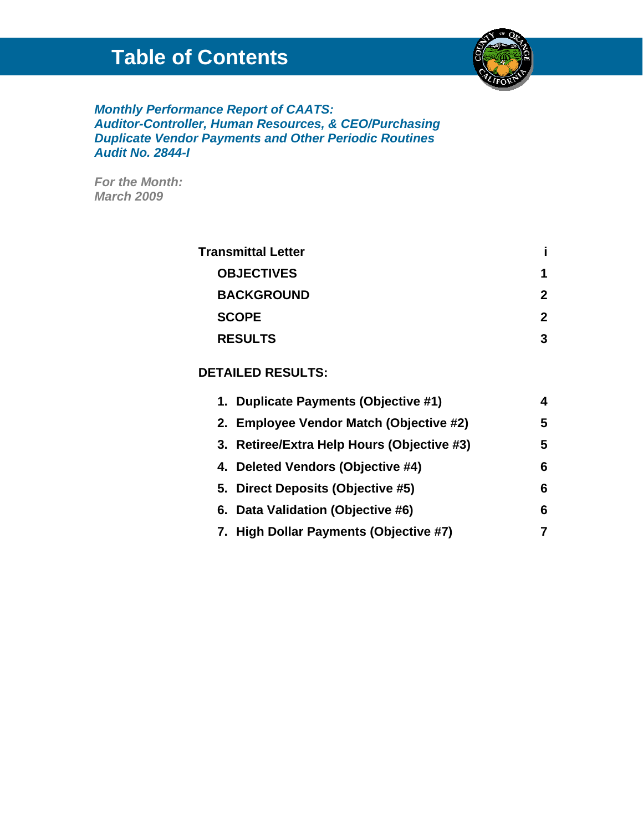# **Table of Contents**



# *Monthly Performance Report of CAATS: Auditor-Controller, Human Resources, & CEO/Purchasing Duplicate Vendor Payments and Other Periodic Routines Audit No. 2844-I*

*For the Month: March 2009* 

| <b>Transmittal Letter</b> |   |
|---------------------------|---|
| <b>OBJECTIVES</b>         | 1 |
| <b>BACKGROUND</b>         | 2 |
| <b>SCOPE</b>              | 2 |
| <b>RESULTS</b>            | 3 |
|                           |   |

# **DETAILED RESULTS:**

| 1. Duplicate Payments (Objective #1)       | 4 |
|--------------------------------------------|---|
| 2. Employee Vendor Match (Objective #2)    | 5 |
| 3. Retiree/Extra Help Hours (Objective #3) | 5 |
| 4. Deleted Vendors (Objective #4)          | 6 |
| 5. Direct Deposits (Objective #5)          | 6 |
| 6. Data Validation (Objective #6)          | 6 |
| 7. High Dollar Payments (Objective #7)     |   |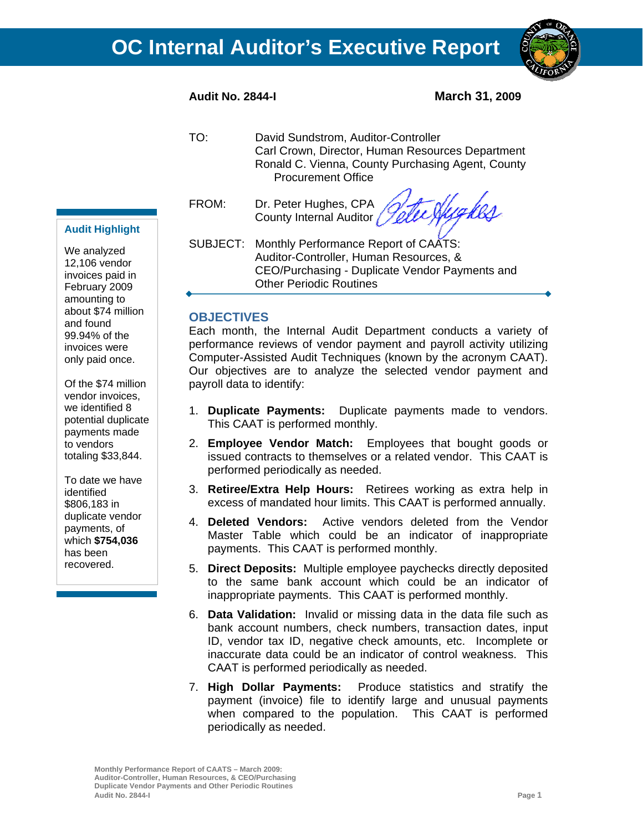

- TO: David Sundstrom, Auditor-Controller Carl Crown, Director, Human Resources Department Ronald C. Vienna, County Purchasing Agent, County Procurement Office
- FROM: Dr. Peter Hughes, CPA County Internal Auditor

te Sheghes

SUBJECT: Monthly Performance Report of CAATS: Auditor-Controller, Human Resources, & CEO/Purchasing - Duplicate Vendor Payments and Other Periodic Routines

# **OBJECTIVES**

Each month, the Internal Audit Department conducts a variety of performance reviews of vendor payment and payroll activity utilizing Computer-Assisted Audit Techniques (known by the acronym CAAT). Our objectives are to analyze the selected vendor payment and payroll data to identify:

- 1. **Duplicate Payments:** Duplicate payments made to vendors. This CAAT is performed monthly.
- 2. **Employee Vendor Match:** Employees that bought goods or issued contracts to themselves or a related vendor. This CAAT is performed periodically as needed.
- 3. **Retiree/Extra Help Hours:** Retirees working as extra help in excess of mandated hour limits. This CAAT is performed annually.
- 4. **Deleted Vendors:** Active vendors deleted from the Vendor Master Table which could be an indicator of inappropriate payments. This CAAT is performed monthly.
- 5. **Direct Deposits:** Multiple employee paychecks directly deposited to the same bank account which could be an indicator of inappropriate payments. This CAAT is performed monthly.
- 6. **Data Validation:** Invalid or missing data in the data file such as bank account numbers, check numbers, transaction dates, input ID, vendor tax ID, negative check amounts, etc. Incomplete or inaccurate data could be an indicator of control weakness. This CAAT is performed periodically as needed.
- 7. **High Dollar Payments:** Produce statistics and stratify the payment (invoice) file to identify large and unusual payments when compared to the population. This CAAT is performed periodically as needed.

**Monthly Performance Report of CAATS – March 2009: Auditor-Controller, Human Resources, & CEO/Purchasing Duplicate Vendor Payments and Other Periodic Routines Audit No. 2844-I Page 1**

#### **Audit Highlight**

We analyzed 12,106 vendor invoices paid in February 2009 amounting to about \$74 million and found 99.94% of the invoices were only paid once.

Of the \$74 million vendor invoices, we identified 8 potential duplicate payments made to vendors totaling \$33,844.

To date we have identified \$806,183 in duplicate vendor payments, of which **\$754,036** has been recovered.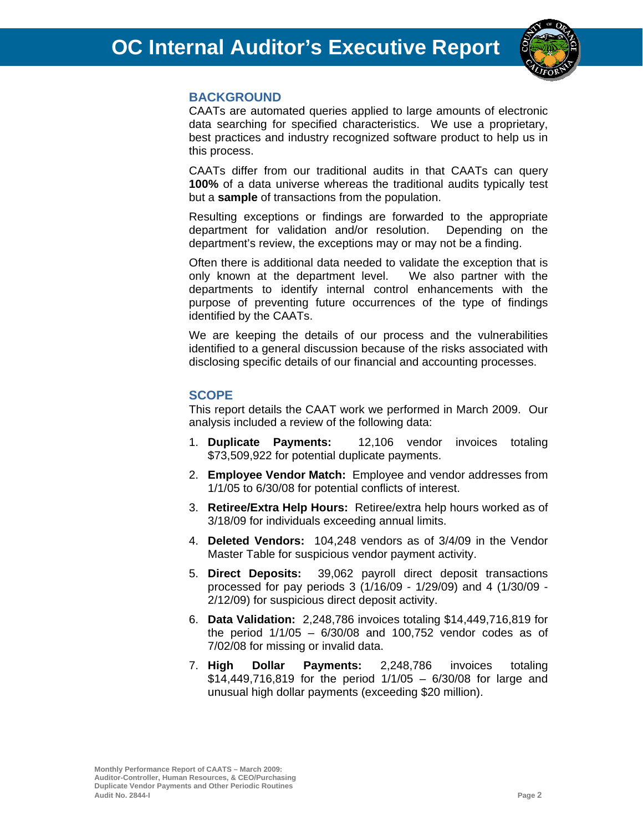

# **BACKGROUND**

CAATs are automated queries applied to large amounts of electronic data searching for specified characteristics. We use a proprietary, best practices and industry recognized software product to help us in this process.

CAATs differ from our traditional audits in that CAATs can query **100%** of a data universe whereas the traditional audits typically test but a **sample** of transactions from the population.

Resulting exceptions or findings are forwarded to the appropriate department for validation and/or resolution. Depending on the department's review, the exceptions may or may not be a finding.

Often there is additional data needed to validate the exception that is only known at the department level. We also partner with the departments to identify internal control enhancements with the purpose of preventing future occurrences of the type of findings identified by the CAATs.

We are keeping the details of our process and the vulnerabilities identified to a general discussion because of the risks associated with disclosing specific details of our financial and accounting processes.

#### **SCOPE**

This report details the CAAT work we performed in March 2009. Our analysis included a review of the following data:

- 1. **Duplicate Payments:** 12,106 vendor invoices totaling \$73,509,922 for potential duplicate payments.
- 2. **Employee Vendor Match:** Employee and vendor addresses from 1/1/05 to 6/30/08 for potential conflicts of interest.
- 3. **Retiree/Extra Help Hours:** Retiree/extra help hours worked as of 3/18/09 for individuals exceeding annual limits.
- 4. **Deleted Vendors:** 104,248 vendors as of 3/4/09 in the Vendor Master Table for suspicious vendor payment activity.
- 5. **Direct Deposits:** 39,062 payroll direct deposit transactions processed for pay periods 3 (1/16/09 - 1/29/09) and 4 (1/30/09 - 2/12/09) for suspicious direct deposit activity.
- 6. **Data Validation:** 2,248,786 invoices totaling \$14,449,716,819 for the period 1/1/05 – 6/30/08 and 100,752 vendor codes as of 7/02/08 for missing or invalid data.
- 7. **High Dollar Payments:** 2,248,786 invoices totaling \$14,449,716,819 for the period 1/1/05 – 6/30/08 for large and unusual high dollar payments (exceeding \$20 million).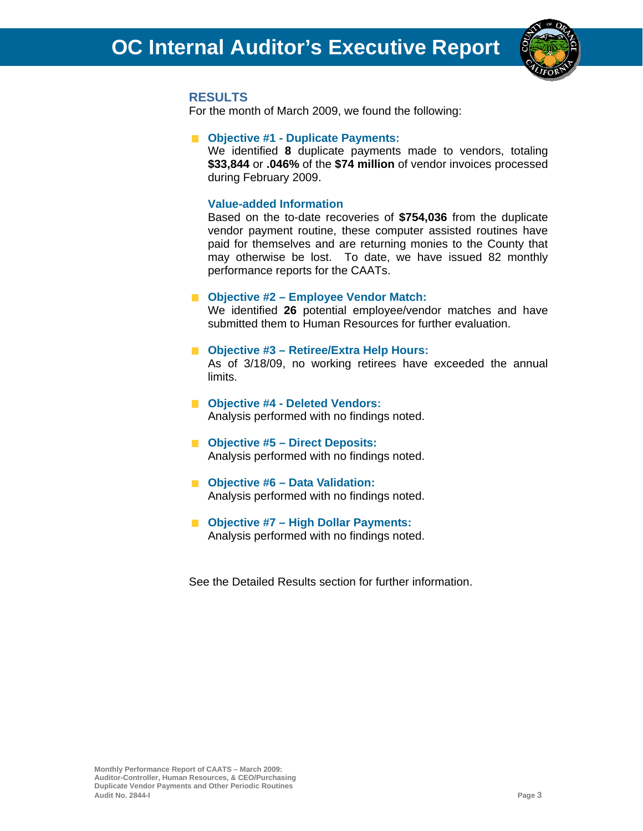

#### **RESULTS**

For the month of March 2009, we found the following:

#### **Objective #1 - Duplicate Payments:**

We identified **8** duplicate payments made to vendors, totaling **\$33,844** or **.046%** of the **\$74 million** of vendor invoices processed during February 2009.

#### **Value-added Information**

Based on the to-date recoveries of **\$754,036** from the duplicate vendor payment routine, these computer assisted routines have paid for themselves and are returning monies to the County that may otherwise be lost. To date, we have issued 82 monthly performance reports for the CAATs.

#### ■ Objective #2 – Employee Vendor Match:

We identified **26** potential employee/vendor matches and have submitted them to Human Resources for further evaluation.

#### **Objective #3 – Retiree/Extra Help Hours:**

As of 3/18/09, no working retirees have exceeded the annual limits.

#### ■ Objective #4 - Deleted Vendors: Analysis performed with no findings noted.

- Objective #5 Direct Deposits: Analysis performed with no findings noted.
- **Objective #6 Data Validation:**  Analysis performed with no findings noted.

#### ■ Objective #7 – High Dollar Payments: Analysis performed with no findings noted.

See the Detailed Results section for further information.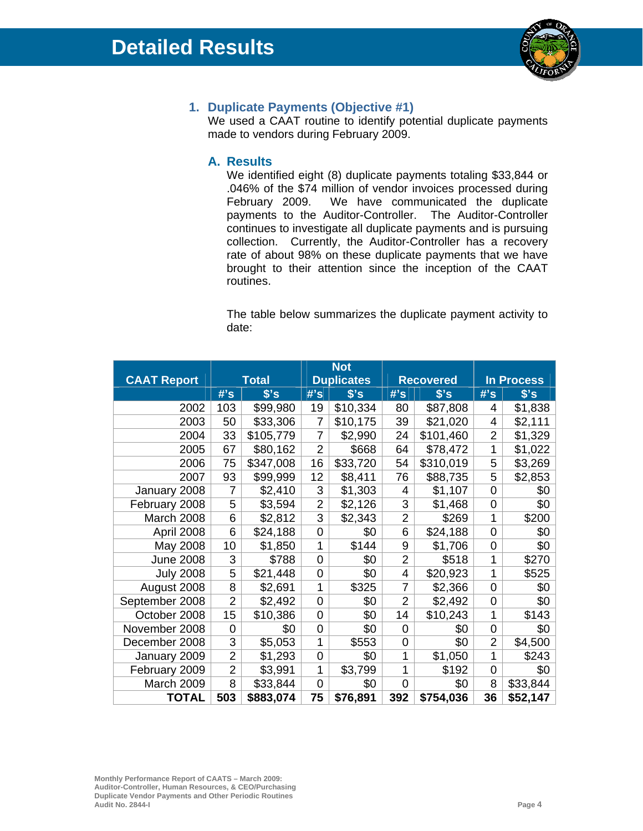

# **1. Duplicate Payments (Objective #1)**

We used a CAAT routine to identify potential duplicate payments made to vendors during February 2009.

#### **A. Results**

 We identified eight (8) duplicate payments totaling \$33,844 or .046% of the \$74 million of vendor invoices processed during February 2009. We have communicated the duplicate payments to the Auditor-Controller. The Auditor-Controller continues to investigate all duplicate payments and is pursuing collection. Currently, the Auditor-Controller has a recovery rate of about 98% on these duplicate payments that we have brought to their attention since the inception of the CAAT routines.

The table below summarizes the duplicate payment activity to date:

|                    |                |              | <b>Not</b>        |          |                  |           |                   |               |
|--------------------|----------------|--------------|-------------------|----------|------------------|-----------|-------------------|---------------|
| <b>CAAT Report</b> |                | <b>Total</b> | <b>Duplicates</b> |          | <b>Recovered</b> |           | <b>In Process</b> |               |
|                    | $#$ 's         | s's          | #s                | $s$ 's   | #s               | s's       | #s                | $$^{\circ}$ s |
| 2002               | 103            | \$99,980     | 19                | \$10,334 | 80               | \$87,808  | 4                 | \$1,838       |
| 2003               | 50             | \$33,306     | 7                 | \$10,175 | 39               | \$21,020  | 4                 | \$2,111       |
| 2004               | 33             | \$105,779    | $\overline{7}$    | \$2,990  | 24               | \$101,460 | $\overline{2}$    | \$1,329       |
| 2005               | 67             | \$80,162     | $\overline{2}$    | \$668    | 64               | \$78,472  | 1                 | \$1,022       |
| 2006               | 75             | \$347,008    | 16                | \$33,720 | 54               | \$310,019 | 5                 | \$3,269       |
| 2007               | 93             | \$99,999     | 12                | \$8,411  | 76               | \$88,735  | 5                 | \$2,853       |
| January 2008       | 7              | \$2,410      | 3                 | \$1,303  | 4                | \$1,107   | $\overline{0}$    | \$0           |
| February 2008      | 5              | \$3,594      | $\overline{2}$    | \$2,126  | 3                | \$1,468   | $\mathbf 0$       | \$0           |
| March 2008         | 6              | \$2,812      | 3                 | \$2,343  | $\overline{2}$   | \$269     | 1                 | \$200         |
| April 2008         | 6              | \$24,188     | 0                 | \$0      | 6                | \$24,188  | $\mathbf 0$       | \$0           |
| May 2008           | 10             | \$1,850      | 1                 | \$144    | 9                | \$1,706   | $\mathbf 0$       | \$0           |
| <b>June 2008</b>   | 3              | \$788        | 0                 | \$0      | $\overline{2}$   | \$518     | 1                 | \$270         |
| <b>July 2008</b>   | 5              | \$21,448     | 0                 | \$0      | 4                | \$20,923  | 1                 | \$525         |
| August 2008        | 8              | \$2,691      | 1                 | \$325    | 7                | \$2,366   | 0                 | \$0           |
| September 2008     | $\overline{2}$ | \$2,492      | 0                 | \$0      | $\overline{2}$   | \$2,492   | $\overline{0}$    | \$0           |
| October 2008       | 15             | \$10,386     | 0                 | \$0      | 14               | \$10,243  | 1                 | \$143         |
| November 2008      | $\overline{0}$ | \$0          | 0                 | \$0      | 0                | \$0       | $\overline{0}$    | \$0           |
| December 2008      | 3              | \$5,053      | 1                 | \$553    | 0                | \$0       | $\overline{2}$    | \$4,500       |
| January 2009       | $\overline{2}$ | \$1,293      | 0                 | \$0      | 1                | \$1,050   | 1                 | \$243         |
| February 2009      | $\overline{2}$ | \$3,991      | 1                 | \$3,799  | 1                | \$192     | $\mathbf 0$       | \$0           |
| March 2009         | 8              | \$33,844     | 0                 | \$0      | $\overline{0}$   | \$0       | 8                 | \$33,844      |
| <b>TOTAL</b>       | 503            | \$883,074    | 75                | \$76,891 | 392              | \$754,036 | 36                | \$52,147      |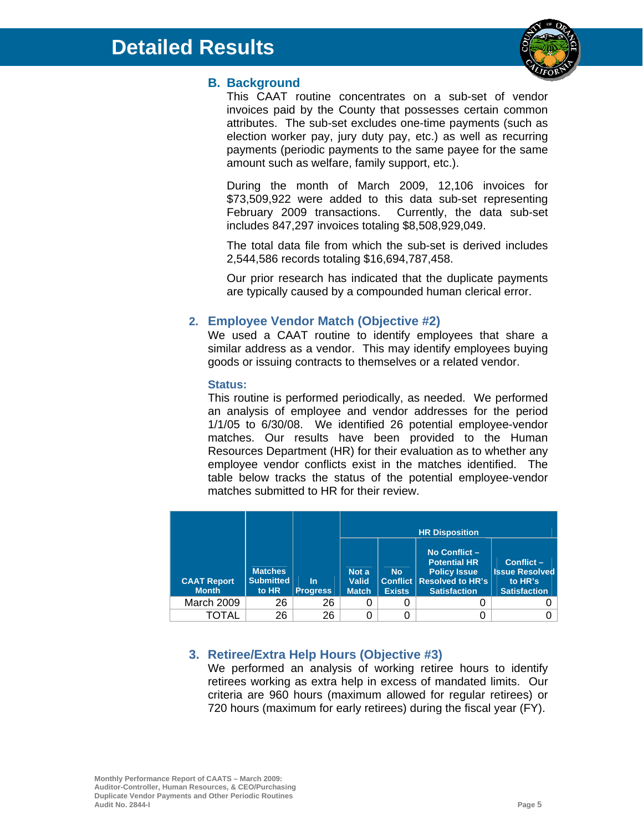

# **B. Background**

This CAAT routine concentrates on a sub-set of vendor invoices paid by the County that possesses certain common attributes. The sub-set excludes one-time payments (such as election worker pay, jury duty pay, etc.) as well as recurring payments (periodic payments to the same payee for the same amount such as welfare, family support, etc.).

During the month of March 2009, 12,106 invoices for \$73,509,922 were added to this data sub-set representing February 2009 transactions. Currently, the data sub-set includes 847,297 invoices totaling \$8,508,929,049.

The total data file from which the sub-set is derived includes 2,544,586 records totaling \$16,694,787,458.

Our prior research has indicated that the duplicate payments are typically caused by a compounded human clerical error.

# **2. Employee Vendor Match (Objective #2)**

We used a CAAT routine to identify employees that share a similar address as a vendor. This may identify employees buying goods or issuing contracts to themselves or a related vendor.

#### **Status:**

This routine is performed periodically, as needed. We performed an analysis of employee and vendor addresses for the period 1/1/05 to 6/30/08. We identified 26 potential employee-vendor matches. Our results have been provided to the Human Resources Department (HR) for their evaluation as to whether any employee vendor conflicts exist in the matches identified. The table below tracks the status of the potential employee-vendor matches submitted to HR for their review.

| <b>CAAT Report</b><br><b>Month</b> | <b>Matches</b><br><b>Submitted</b><br>to HR | ln.<br><b>Progress</b> | Not a<br><b>Valid</b><br><b>Match</b> | <b>No</b><br><b>Exists</b> | No Conflict-<br><b>Potential HR</b><br><b>Policy Issue</b><br><b>Conflict   Resolved to HR's</b><br><b>Satisfaction</b> | Conflict-<br><b>Issue Resolved</b><br>to HR's<br><b>Satisfaction</b> |
|------------------------------------|---------------------------------------------|------------------------|---------------------------------------|----------------------------|-------------------------------------------------------------------------------------------------------------------------|----------------------------------------------------------------------|
| March 2009                         | 26                                          | 26                     |                                       | O                          |                                                                                                                         |                                                                      |
| TOTAL                              | 26                                          | 26                     |                                       |                            |                                                                                                                         |                                                                      |

# **3. Retiree/Extra Help Hours (Objective #3)**

We performed an analysis of working retiree hours to identify retirees working as extra help in excess of mandated limits. Our criteria are 960 hours (maximum allowed for regular retirees) or 720 hours (maximum for early retirees) during the fiscal year (FY).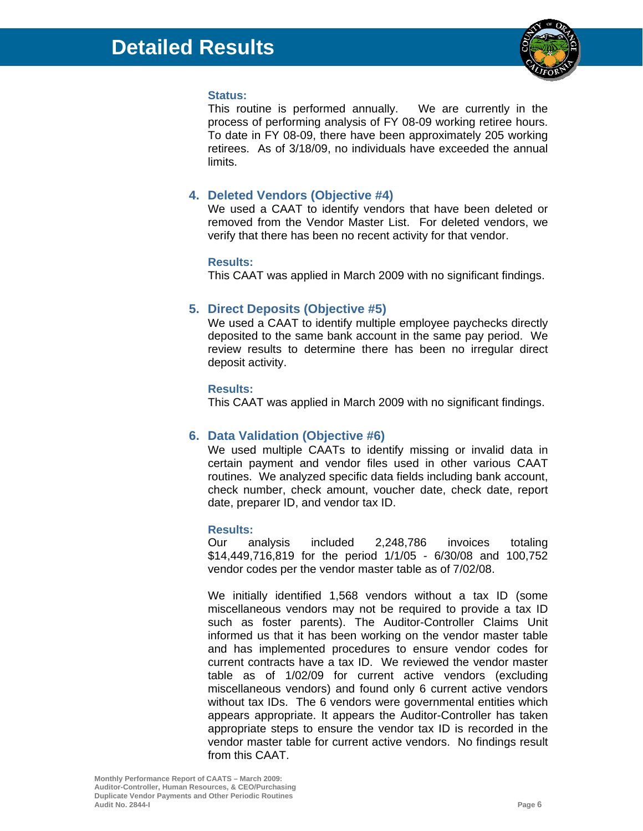

#### **Status:**

This routine is performed annually. We are currently in the process of performing analysis of FY 08-09 working retiree hours. To date in FY 08-09, there have been approximately 205 working retirees. As of 3/18/09, no individuals have exceeded the annual limits.

# **4. Deleted Vendors (Objective #4)**

We used a CAAT to identify vendors that have been deleted or removed from the Vendor Master List. For deleted vendors, we verify that there has been no recent activity for that vendor.

#### **Results:**

This CAAT was applied in March 2009 with no significant findings.

# **5. Direct Deposits (Objective #5)**

We used a CAAT to identify multiple employee paychecks directly deposited to the same bank account in the same pay period. We review results to determine there has been no irregular direct deposit activity.

#### **Results:**

This CAAT was applied in March 2009 with no significant findings.

# **6. Data Validation (Objective #6)**

We used multiple CAATs to identify missing or invalid data in certain payment and vendor files used in other various CAAT routines. We analyzed specific data fields including bank account, check number, check amount, voucher date, check date, report date, preparer ID, and vendor tax ID.

#### **Results:**

Our analysis included 2,248,786 invoices totaling \$14,449,716,819 for the period 1/1/05 - 6/30/08 and 100,752 vendor codes per the vendor master table as of 7/02/08.

We initially identified 1,568 vendors without a tax ID (some miscellaneous vendors may not be required to provide a tax ID such as foster parents). The Auditor-Controller Claims Unit informed us that it has been working on the vendor master table and has implemented procedures to ensure vendor codes for current contracts have a tax ID. We reviewed the vendor master table as of 1/02/09 for current active vendors (excluding miscellaneous vendors) and found only 6 current active vendors without tax IDs. The 6 vendors were governmental entities which appears appropriate. It appears the Auditor-Controller has taken appropriate steps to ensure the vendor tax ID is recorded in the vendor master table for current active vendors. No findings result from this CAAT.